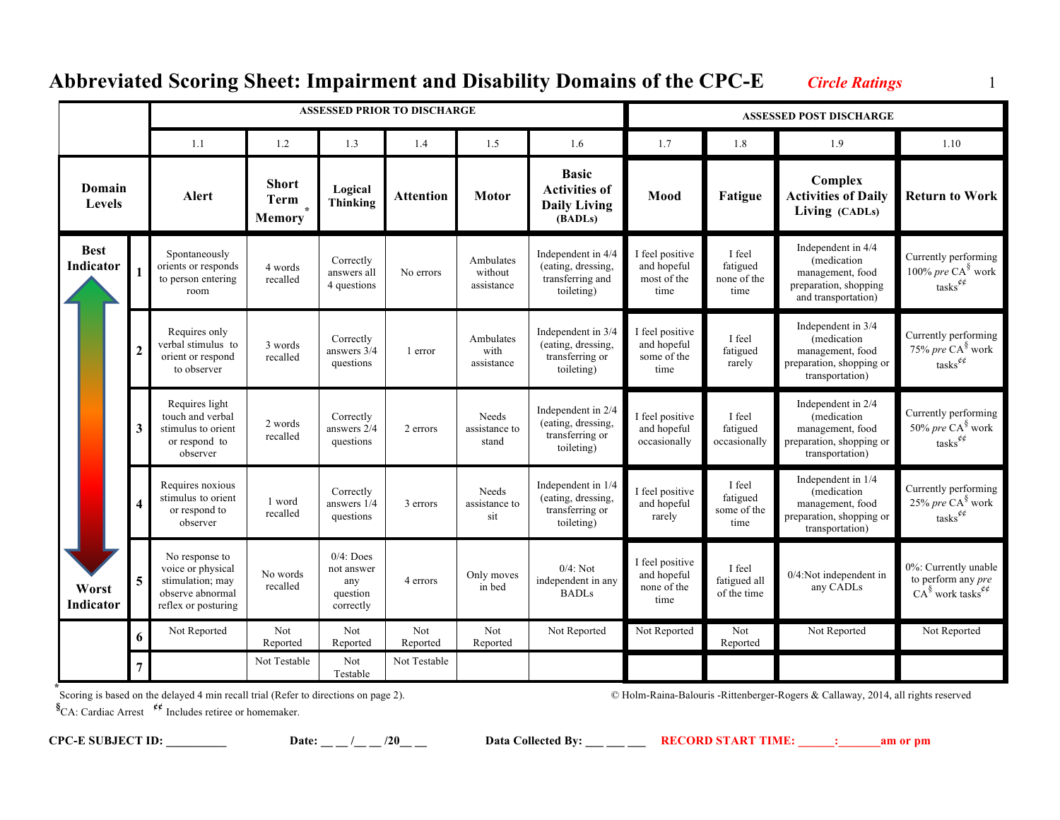|                                 |   | <b>ASSESSED PRIOR TO DISCHARGE</b>                                                                 |                                              |                                                            |                  |                                    | <b>ASSESSED POST DISCHARGE</b>                                             |                                                       |                                           |                                                                                                       |                                                                                  |
|---------------------------------|---|----------------------------------------------------------------------------------------------------|----------------------------------------------|------------------------------------------------------------|------------------|------------------------------------|----------------------------------------------------------------------------|-------------------------------------------------------|-------------------------------------------|-------------------------------------------------------------------------------------------------------|----------------------------------------------------------------------------------|
|                                 |   | 1.1                                                                                                | 1.2                                          | 1.3                                                        | 1.4              | 1.5                                | 1.6                                                                        | 1.7                                                   | 1.8                                       | 1.9                                                                                                   | 1.10                                                                             |
| Domain<br>Levels                |   | Alert                                                                                              | <b>Short</b><br><b>Term</b><br><b>Memory</b> | Logical<br><b>Thinking</b>                                 | <b>Attention</b> | <b>Motor</b>                       | <b>Basic</b><br><b>Activities of</b><br><b>Daily Living</b><br>(BADLs)     | Mood                                                  | Fatigue                                   | Complex<br><b>Activities of Daily</b><br>Living (CADLs)                                               | <b>Return to Work</b>                                                            |
| <b>Best</b><br><b>Indicator</b> |   | Spontaneously<br>orients or responds<br>to person entering<br>room                                 | 4 words<br>recalled                          | Correctly<br>answers all<br>4 questions                    | No errors        | Ambulates<br>without<br>assistance | Independent in 4/4<br>(eating, dressing,<br>transferring and<br>toileting) | I feel positive<br>and hopeful<br>most of the<br>time | I feel<br>fatigued<br>none of the<br>time | Independent in 4/4<br>(medication<br>management, food<br>preparation, shopping<br>and transportation) | Currently performing<br>100% pre $CA^{\S}$ work<br>tasks $e^{\phi \phi}$         |
|                                 |   | Requires only<br>verbal stimulus to<br>orient or respond<br>to observer                            | 3 words<br>recalled                          | Correctly<br>answers 3/4<br>questions                      | 1 error          | Ambulates<br>with<br>assistance    | Independent in 3/4<br>(eating, dressing,<br>transferring or<br>toileting)  | I feel positive<br>and hopeful<br>some of the<br>time | I feel<br>fatigued<br>rarely              | Independent in 3/4<br>(medication)<br>management, food<br>preparation, shopping or<br>transportation) | Currently performing<br>75% pre $CA^{\S}$ work<br>tasks $e^{\phi \phi}$          |
|                                 | 3 | Requires light<br>touch and verbal<br>stimulus to orient<br>or respond to<br>observer              | 2 words<br>recalled                          | Correctly<br>answers 2/4<br>questions                      | 2 errors         | Needs<br>assistance to<br>stand    | Independent in 2/4<br>(eating, dressing,<br>transferring or<br>toileting)  | I feel positive<br>and hopeful<br>occasionally        | I feel<br>fatigued<br>occasionally        | Independent in 2/4<br>(medication)<br>management, food<br>preparation, shopping or<br>transportation) | Currently performing<br>50% pre $CA^{\S}$ work<br>tasks $^{\phi\phi}$            |
|                                 | Δ | Requires noxious<br>stimulus to orient<br>or respond to<br>observer                                | 1 word<br>recalled                           | Correctly<br>answers 1/4<br>questions                      | 3 errors         | Needs<br>assistance to<br>sit      | Independent in 1/4<br>(eating, dressing,<br>transferring or<br>toileting)  | I feel positive<br>and hopeful<br>rarely              | I feel<br>fatigued<br>some of the<br>time | Independent in 1/4<br>(medication)<br>management, food<br>preparation, shopping or<br>transportation) | Currently performing<br>25% pre $CA^{\S}$ work<br>tasks $^{\!\!\phi\phi}$        |
| Worst<br>Indicator              | 5 | No response to<br>voice or physical<br>stimulation; may<br>observe abnormal<br>reflex or posturing | No words<br>recalled                         | $0/4$ : Does<br>not answer<br>any<br>question<br>correctly | 4 errors         | Only moves<br>in bed               | $0/4$ : Not<br>independent in any<br><b>BADLs</b>                          | I feel positive<br>and hopeful<br>none of the<br>time | I feel<br>fatigued all<br>of the time     | 0/4:Not independent in<br>any CADLs                                                                   | 0%: Currently unable<br>to perform any pre<br>$CA^{\S}$ work tasks <sup>¢¢</sup> |
|                                 | 6 | Not Reported                                                                                       | Not<br>Reported                              | Not<br>Reported                                            | Not<br>Reported  | Not<br>Reported                    | Not Reported                                                               | Not Reported                                          | Not<br>Reported                           | Not Reported                                                                                          | Not Reported                                                                     |
|                                 |   |                                                                                                    | Not Testable                                 | Not<br>Testable                                            | Not Testable     |                                    |                                                                            |                                                       |                                           |                                                                                                       |                                                                                  |

# **Abbreviated Scoring Sheet: Impairment and Disability Domains of the CPC-E** *Circle Ratings* 1

 $\oslash$  Holm-Raina-Balouris -Rittenberger-Rogers & Callaway, 2014, all rights reserved

 **§** CA: Cardiac Arrest  **¢¢** Includes retiree or homemaker.

**CPC-E SUBJECT ID: \_\_\_\_\_\_\_\_\_\_ Date: \_\_ \_\_ /\_\_ \_\_ /20\_\_ \_\_ Data Collected By: \_\_\_ \_\_\_ \_\_\_ RECORD START TIME: \_\_\_\_\_\_:\_\_\_\_\_\_\_am or pm**